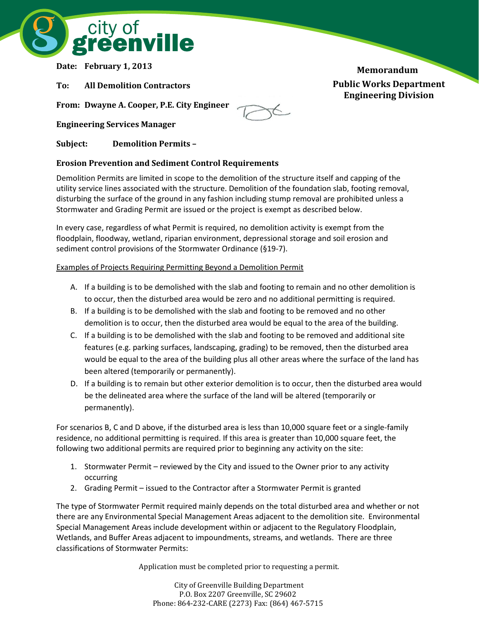

**Date: February 1, 2013**

**To: All Demolition Contractors**

**From: Dwayne A. Cooper, P.E. City Engineer**

**Engineering Services Manager**

**Subject: Demolition Permits –**

## **Erosion Prevention and Sediment Control Requirements**

Demolition Permits are limited in scope to the demolition of the structure itself and capping of the utility service lines associated with the structure. Demolition of the foundation slab, footing removal, disturbing the surface of the ground in any fashion including stump removal are prohibited unless a Stormwater and Grading Permit are issued or the project is exempt as described below.

In every case, regardless of what Permit is required, no demolition activity is exempt from the floodplain, floodway, wetland, riparian environment, depressional storage and soil erosion and sediment control provisions of the Stormwater Ordinance (§19-7).

## Examples of Projects Requiring Permitting Beyond a Demolition Permit

- A. If a building is to be demolished with the slab and footing to remain and no other demolition is to occur, then the disturbed area would be zero and no additional permitting is required.
- B. If a building is to be demolished with the slab and footing to be removed and no other demolition is to occur, then the disturbed area would be equal to the area of the building.
- C. If a building is to be demolished with the slab and footing to be removed and additional site features (e.g. parking surfaces, landscaping, grading) to be removed, then the disturbed area would be equal to the area of the building plus all other areas where the surface of the land has been altered (temporarily or permanently).
- D. If a building is to remain but other exterior demolition is to occur, then the disturbed area would be the delineated area where the surface of the land will be altered (temporarily or permanently).

For scenarios B, C and D above, if the disturbed area is less than 10,000 square feet or a single-family residence, no additional permitting is required. If this area is greater than 10,000 square feet, the following two additional permits are required prior to beginning any activity on the site:

- 1. Stormwater Permit reviewed by the City and issued to the Owner prior to any activity occurring
- 2. Grading Permit issued to the Contractor after a Stormwater Permit is granted

The type of Stormwater Permit required mainly depends on the total disturbed area and whether or not there are any Environmental Special Management Areas adjacent to the demolition site. Environmental Special Management Areas include development within or adjacent to the Regulatory Floodplain, Wetlands, and Buffer Areas adjacent to impoundments, streams, and wetlands. There are three classifications of Stormwater Permits:

Application must be completed prior to requesting a permit.

City of Greenville Building Department P.O. Box 2207 Greenville, SC 29602 Phone: 864-232-CARE (2273) Fax: (864) 467-5715 **Public Works Department Engineering Division Memorandum**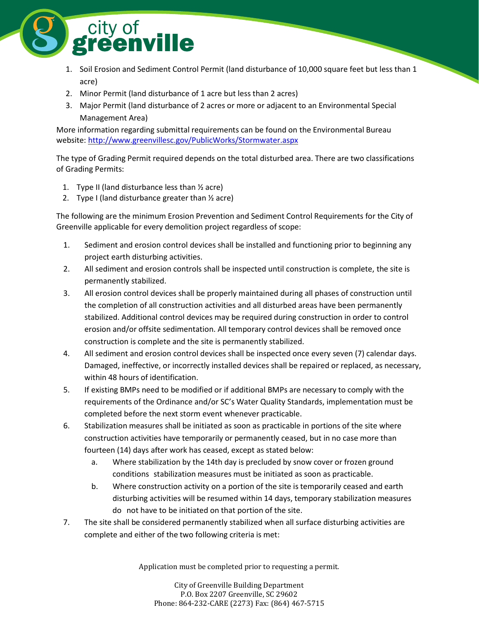

- 1. Soil Erosion and Sediment Control Permit (land disturbance of 10,000 square feet but less than 1 acre)
- 2. Minor Permit (land disturbance of 1 acre but less than 2 acres)
- 3. Major Permit (land disturbance of 2 acres or more or adjacent to an Environmental Special Management Area)

More information regarding submittal requirements can be found on the Environmental Bureau website: <http://www.greenvillesc.gov/PublicWorks/Stormwater.aspx>

The type of Grading Permit required depends on the total disturbed area. There are two classifications of Grading Permits:

- 1. Type II (land disturbance less than ½ acre)
- 2. Type I (land disturbance greater than  $\frac{1}{2}$  acre)

The following are the minimum Erosion Prevention and Sediment Control Requirements for the City of Greenville applicable for every demolition project regardless of scope:

- 1. Sediment and erosion control devices shall be installed and functioning prior to beginning any project earth disturbing activities.
- 2. All sediment and erosion controls shall be inspected until construction is complete, the site is permanently stabilized.
- 3. All erosion control devices shall be properly maintained during all phases of construction until the completion of all construction activities and all disturbed areas have been permanently stabilized. Additional control devices may be required during construction in order to control erosion and/or offsite sedimentation. All temporary control devices shall be removed once construction is complete and the site is permanently stabilized.
- 4. All sediment and erosion control devices shall be inspected once every seven (7) calendar days. Damaged, ineffective, or incorrectly installed devices shall be repaired or replaced, as necessary, within 48 hours of identification.
- 5. If existing BMPs need to be modified or if additional BMPs are necessary to comply with the requirements of the Ordinance and/or SC's Water Quality Standards, implementation must be completed before the next storm event whenever practicable.
- 6. Stabilization measures shall be initiated as soon as practicable in portions of the site where construction activities have temporarily or permanently ceased, but in no case more than fourteen (14) days after work has ceased, except as stated below:
	- a. Where stabilization by the 14th day is precluded by snow cover or frozen ground conditions stabilization measures must be initiated as soon as practicable.
	- b. Where construction activity on a portion of the site is temporarily ceased and earth disturbing activities will be resumed within 14 days, temporary stabilization measures do not have to be initiated on that portion of the site.
- 7. The site shall be considered permanently stabilized when all surface disturbing activities are complete and either of the two following criteria is met:

Application must be completed prior to requesting a permit.

City of Greenville Building Department P.O. Box 2207 Greenville, SC 29602 Phone: 864-232-CARE (2273) Fax: (864) 467-5715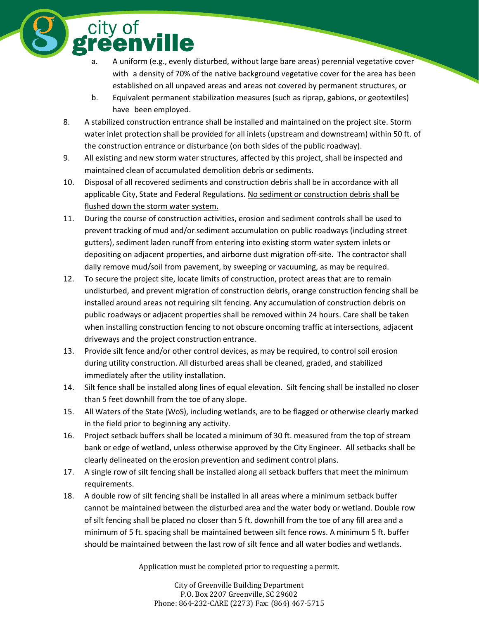A uniform (e.g., evenly disturbed, without large bare areas) perennial vegetative cover with a density of 70% of the native background vegetative cover for the area has been established on all unpaved areas and areas not covered by permanent structures, or

- b. Equivalent permanent stabilization measures (such as riprap, gabions, or geotextiles) have been employed.
- 8. A stabilized construction entrance shall be installed and maintained on the project site. Storm water inlet protection shall be provided for all inlets (upstream and downstream) within 50 ft. of the construction entrance or disturbance (on both sides of the public roadway).
- 9. All existing and new storm water structures, affected by this project, shall be inspected and maintained clean of accumulated demolition debris or sediments.

city of<br>reenville

- 10. Disposal of all recovered sediments and construction debris shall be in accordance with all applicable City, State and Federal Regulations. No sediment or construction debris shall be flushed down the storm water system.
- 11. During the course of construction activities, erosion and sediment controls shall be used to prevent tracking of mud and/or sediment accumulation on public roadways (including street gutters), sediment laden runoff from entering into existing storm water system inlets or depositing on adjacent properties, and airborne dust migration off-site. The contractor shall daily remove mud/soil from pavement, by sweeping or vacuuming, as may be required.
- 12. To secure the project site, locate limits of construction, protect areas that are to remain undisturbed, and prevent migration of construction debris, orange construction fencing shall be installed around areas not requiring silt fencing. Any accumulation of construction debris on public roadways or adjacent properties shall be removed within 24 hours. Care shall be taken when installing construction fencing to not obscure oncoming traffic at intersections, adjacent driveways and the project construction entrance.
- 13. Provide silt fence and/or other control devices, as may be required, to control soil erosion during utility construction. All disturbed areas shall be cleaned, graded, and stabilized immediately after the utility installation.
- 14. Silt fence shall be installed along lines of equal elevation. Silt fencing shall be installed no closer than 5 feet downhill from the toe of any slope.
- 15. All Waters of the State (WoS), including wetlands, are to be flagged or otherwise clearly marked in the field prior to beginning any activity.
- 16. Project setback buffers shall be located a minimum of 30 ft. measured from the top of stream bank or edge of wetland, unless otherwise approved by the City Engineer. All setbacks shall be clearly delineated on the erosion prevention and sediment control plans.
- 17. A single row of silt fencing shall be installed along all setback buffers that meet the minimum requirements.
- 18. A double row of silt fencing shall be installed in all areas where a minimum setback buffer cannot be maintained between the disturbed area and the water body or wetland. Double row of silt fencing shall be placed no closer than 5 ft. downhill from the toe of any fill area and a minimum of 5 ft. spacing shall be maintained between silt fence rows. A minimum 5 ft. buffer should be maintained between the last row of silt fence and all water bodies and wetlands.

Application must be completed prior to requesting a permit.

City of Greenville Building Department P.O. Box 2207 Greenville, SC 29602 Phone: 864-232-CARE (2273) Fax: (864) 467-5715